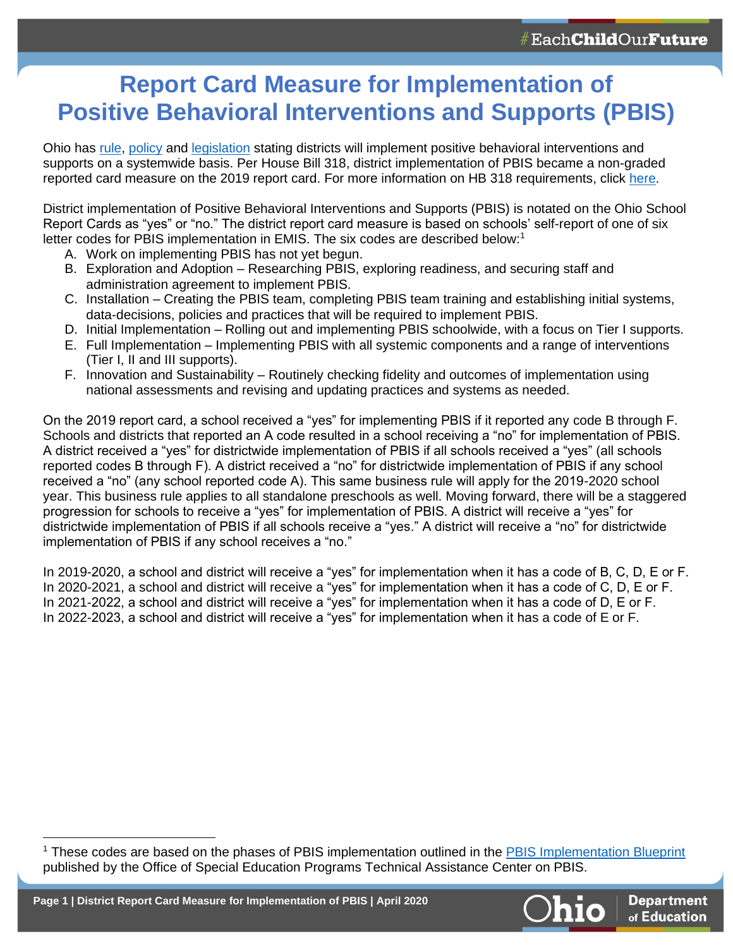## **Report Card Measure for Implementation of Positive Behavioral Interventions and Supports (PBIS)**

Ohio has [rule,](http://codes.ohio.gov/oac/3301-35-15) [policy](http://education.ohio.gov/getattachment/Topics/Other-Resources/School-Safety/Building-Better-Learning-Environments/Policy-Positive-Behavior-Interventions-and-Support/Ohio-Department-of-Education-Policy-on-Positive-Behavior-Interventions.pdf.aspx) and [legislation](https://www.legislature.ohio.gov/legislation/legislation-summary?id=GA132-HB-318) stating districts will implement positive behavioral interventions and supports on a systemwide basis. Per House Bill 318, district implementation of PBIS became a non-graded reported card measure on the 2019 report card. For more information on HB 318 requirements, click [here.](http://education.ohio.gov/getattachment/Topics/Student-Supports/Creating-Caring-Communities/House-Bill-318-Requirements.pdf.aspx?lang=en-US)

District implementation of Positive Behavioral Interventions and Supports (PBIS) is notated on the Ohio School Report Cards as "yes" or "no." The district report card measure is based on schools' self-report of one of six letter codes for PBIS implementation in EMIS. The six codes are described below:<sup>1</sup>

- A. Work on implementing PBIS has not yet begun.
- B. Exploration and Adoption Researching PBIS, exploring readiness, and securing staff and administration agreement to implement PBIS.
- C. Installation Creating the PBIS team, completing PBIS team training and establishing initial systems, data-decisions, policies and practices that will be required to implement PBIS.
- D. Initial Implementation Rolling out and implementing PBIS schoolwide, with a focus on Tier I supports.
- E. Full Implementation Implementing PBIS with all systemic components and a range of interventions (Tier I, II and III supports).
- F. Innovation and Sustainability Routinely checking fidelity and outcomes of implementation using national assessments and revising and updating practices and systems as needed.

On the 2019 report card, a school received a "yes" for implementing PBIS if it reported any code B through F. Schools and districts that reported an A code resulted in a school receiving a "no" for implementation of PBIS. A district received a "yes" for districtwide implementation of PBIS if all schools received a "yes" (all schools reported codes B through F). A district received a "no" for districtwide implementation of PBIS if any school received a "no" (any school reported code A). This same business rule will apply for the 2019-2020 school year. This business rule applies to all standalone preschools as well. Moving forward, there will be a staggered progression for schools to receive a "yes" for implementation of PBIS. A district will receive a "yes" for districtwide implementation of PBIS if all schools receive a "yes." A district will receive a "no" for districtwide implementation of PBIS if any school receives a "no."

In 2019-2020, a school and district will receive a "yes" for implementation when it has a code of B, C, D, E or F. In 2020-2021, a school and district will receive a "yes" for implementation when it has a code of C, D, E or F. In 2021-2022, a school and district will receive a "yes" for implementation when it has a code of D, E or F. In 2022-2023, a school and district will receive a "yes" for implementation when it has a code of E or F.



<sup>&</sup>lt;sup>1</sup> These codes are based on the phases of PBIS implementation outlined in the [PBIS Implementation Blueprint](https://assets-global.website-files.com/5d3725188825e071f1670246/5d79859de5f68d6b4d775c6f_PBIS%20Part%201%2018%20Oct%202015%20Final.pdf) published by the Office of Special Education Programs Technical Assistance Center on PBIS.